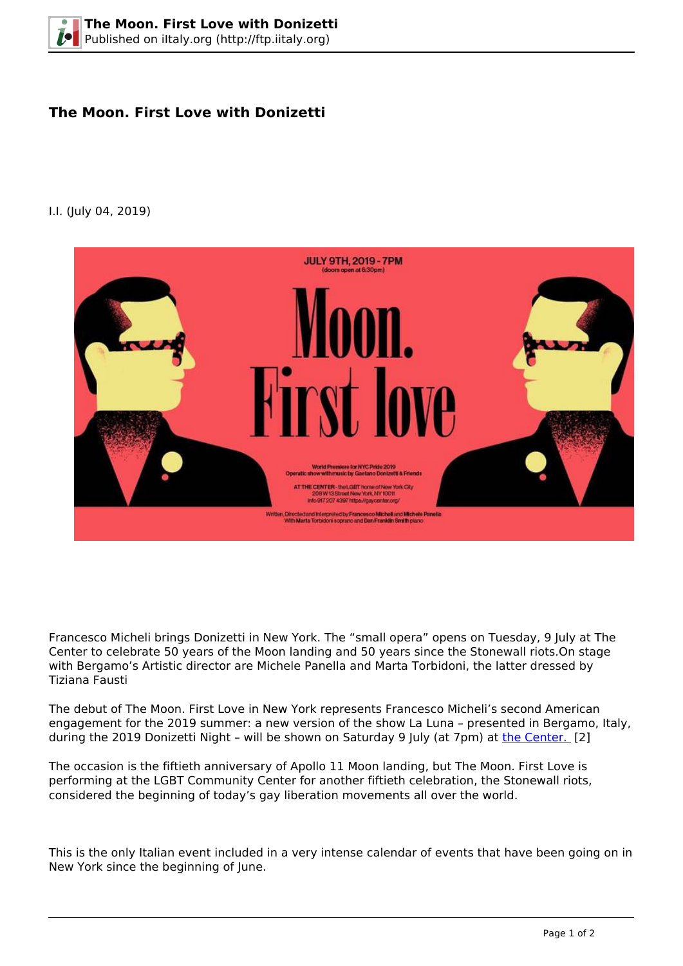## **The Moon. First Love with Donizetti**

## I.I. (July 04, 2019)



Francesco Micheli brings Donizetti in New York. The "small opera" opens on Tuesday, 9 July at The Center to celebrate 50 years of the Moon landing and 50 years since the Stonewall riots.On stage with Bergamo's Artistic director are Michele Panella and Marta Torbidoni, the latter dressed by Tiziana Fausti

The debut of The Moon. First Love in New York represents Francesco Micheli's second American engagement for the 2019 summer: a new version of the show La Luna – presented in Bergamo, Italy, during the 2019 Donizetti Night – will be shown on Saturday 9 July (at 7pm) at [the Center.](https://gaycenter.org/twomoons/) [2]

The occasion is the fiftieth anniversary of Apollo 11 Moon landing, but The Moon. First Love is performing at the LGBT Community Center for another fiftieth celebration, the Stonewall riots, considered the beginning of today's gay liberation movements all over the world.

This is the only Italian event included in a very intense calendar of events that have been going on in New York since the beginning of June.